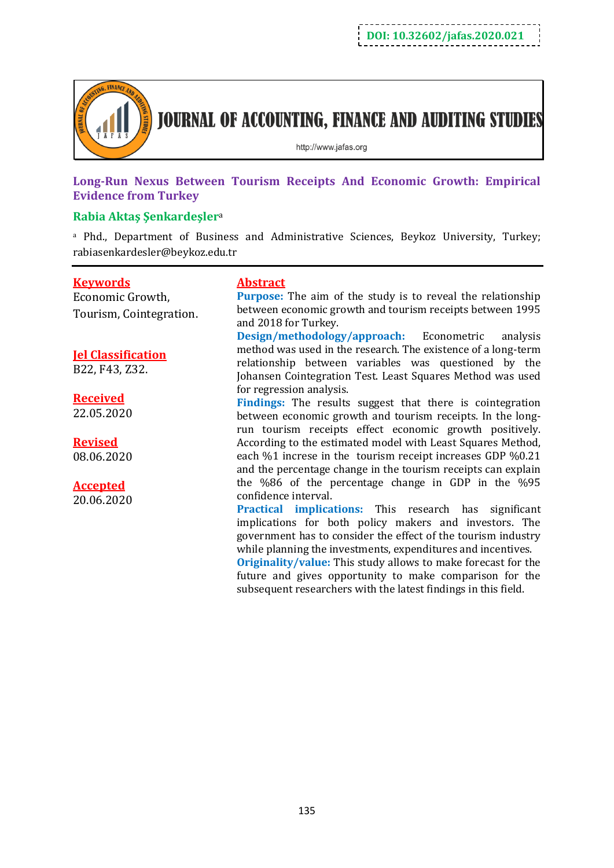

**JOURNAL OF ACCOUNTING, FINANCE AND AUDITING STUDIES** 

http://www.jafas.org

**Long-Run Nexus Between Tourism Receipts And Economic Growth: Empirical Evidence from Turkey**

## **Rabia Aktaş Şenkardeşler**<sup>a</sup>

<sup>a</sup> Phd., Department of Business and Administrative Sciences, Beykoz University, Turkey; rabiasenkardesler@beykoz.edu.tr

## **Keywords**

Economic Growth, Tourism, Cointegration.

# **Jel Classification**

B22, F43, Z32.

### **Received** 22.05.2020

**Revised**

08.06.2020

# **Accepted**

20.06.2020

#### **Abstract**

**Purpose:** The aim of the study is to reveal the relationship between economic growth and tourism receipts between 1995 and 2018 for Turkey.

**Design/methodology/approach:** Econometric analysis method was used in the research. The existence of a long-term relationship between variables was questioned by the Johansen Cointegration Test. Least Squares Method was used for regression analysis.

**Findings:** The results suggest that there is cointegration between economic growth and tourism receipts. In the longrun tourism receipts effect economic growth positively. According to the estimated model with Least Squares Method, each %1 increse in the tourism receipt increases GDP %0.21 and the percentage change in the tourism receipts can explain the %86 of the percentage change in GDP in the %95 confidence interval.

**Practical implications:** This research has significant implications for both policy makers and investors. The government has to consider the effect of the tourism industry while planning the investments, expenditures and incentives.

**Originality/value:** This study allows to make forecast for the future and gives opportunity to make comparison for the subsequent researchers with the latest findings in this field.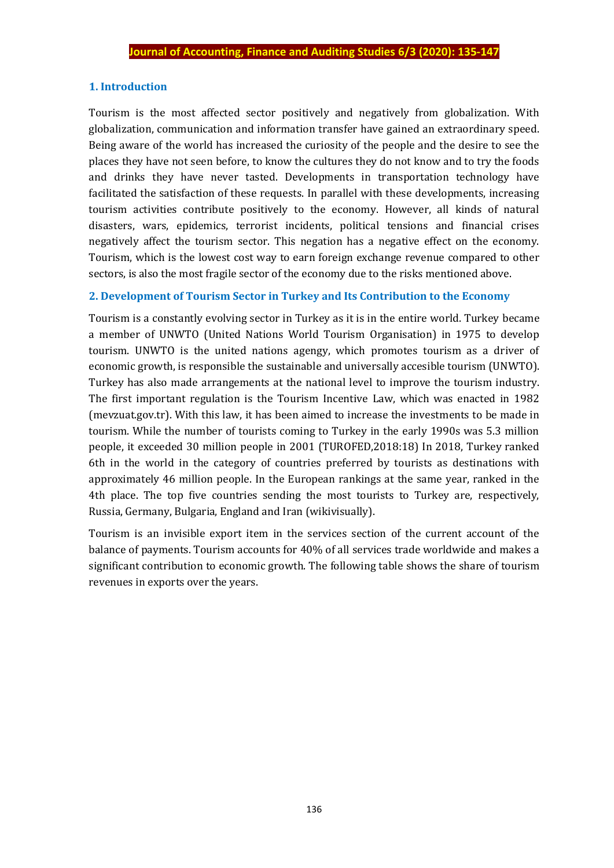#### **1. Introduction**

Tourism is the most affected sector positively and negatively from globalization. With globalization, communication and information transfer have gained an extraordinary speed. Being aware of the world has increased the curiosity of the people and the desire to see the places they have not seen before, to know the cultures they do not know and to try the foods and drinks they have never tasted. Developments in transportation technology have facilitated the satisfaction of these requests. In parallel with these developments, increasing tourism activities contribute positively to the economy. However, all kinds of natural disasters, wars, epidemics, terrorist incidents, political tensions and financial crises negatively affect the tourism sector. This negation has a negative effect on the economy. Tourism, which is the lowest cost way to earn foreign exchange revenue compared to other sectors, is also the most fragile sector of the economy due to the risks mentioned above.

## **2. Development of Tourism Sector in Turkey and Its Contribution to the Economy**

Tourism is a constantly evolving sector in Turkey as it is in the entire world. Turkey became a member of UNWTO (United Nations World Tourism Organisation) in 1975 to develop tourism. UNWTO is the united nations agengy, which promotes tourism as a driver of economic growth, is responsible the sustainable and universally accesible tourism (UNWTO). Turkey has also made arrangements at the national level to improve the tourism industry. The first important regulation is the Tourism Incentive Law, which was enacted in 1982 (mevzuat.gov.tr). With this law, it has been aimed to increase the investments to be made in tourism. While the number of tourists coming to Turkey in the early 1990s was 5.3 million people, it exceeded 30 million people in 2001 (TUROFED,2018:18) In 2018, Turkey ranked 6th in the world in the category of countries preferred by tourists as destinations with approximately 46 million people. In the European rankings at the same year, ranked in the 4th place. The top five countries sending the most tourists to Turkey are, respectively, Russia, Germany, Bulgaria, England and Iran (wikivisually).

Tourism is an invisible export item in the services section of the current account of the balance of payments. Tourism accounts for 40% of all services trade worldwide and makes a significant contribution to economic growth. The following table shows the share of tourism revenues in exports over the years.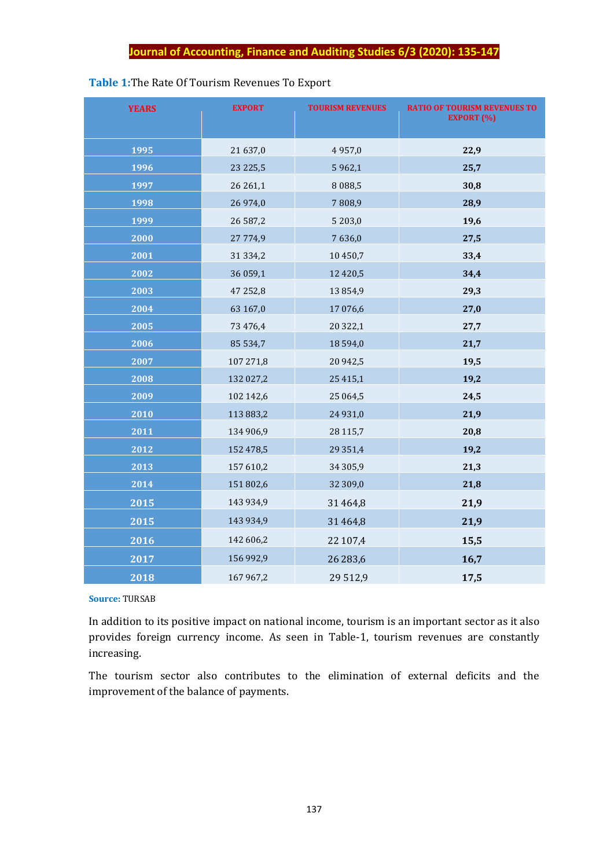# **Table 1:**The Rate Of Tourism Revenues To Export

| <b>YEARS</b> | <b>EXPORT</b> | <b>TOURISM REVENUES</b> | <b>RATIO OF TOURISM REVENUES TO</b><br><b>EXPORT (%)</b> |
|--------------|---------------|-------------------------|----------------------------------------------------------|
| 1995         | 21 637,0      | 4957,0                  | 22,9                                                     |
| 1996         | 23 225,5      | 5 9 6 2, 1              | 25,7                                                     |
| 1997         | 26 26 1,1     | 8 0 8 8,5               | 30,8                                                     |
| 1998         | 26 974,0      | 7808,9                  | 28,9                                                     |
| 1999         | 26 587,2      | 5 203,0                 | 19,6                                                     |
| 2000         | 27 774,9      | 7636,0                  | 27,5                                                     |
| 2001         | 31 334,2      | 10450,7                 | 33,4                                                     |
| 2002         | 36 059,1      | 12 4 20,5               | 34,4                                                     |
| 2003         | 47 252,8      | 13854,9                 | 29,3                                                     |
| 2004         | 63 167,0      | 17 076,6                | 27,0                                                     |
| 2005         | 73 476,4      | 20 322,1                | 27,7                                                     |
| 2006         | 85 534,7      | 18 594,0                | 21,7                                                     |
| 2007         | 107 271,8     | 20 942,5                | 19,5                                                     |
| 2008         | 132 027,2     | 25 4 1 5, 1             | 19,2                                                     |
| 2009         | 102 142,6     | 25 064,5                | 24,5                                                     |
| 2010         | 113 883,2     | 24 9 31,0               | 21,9                                                     |
| 2011         | 134 906,9     | 28 115,7                | 20,8                                                     |
| 2012         | 152 478,5     | 29 351,4                | 19,2                                                     |
| 2013         | 157 610,2     | 34 30 5,9               | 21,3                                                     |
| 2014         | 151 802,6     | 32 309,0                | 21,8                                                     |
| 2015         | 143 934,9     | 31 464,8                | 21,9                                                     |
| 2015         | 143 934,9     | 31 464,8                | 21,9                                                     |
| 2016         | 142 606,2     | 22 107,4                | 15,5                                                     |
| 2017         | 156 992,9     | 26 28 3,6               | 16,7                                                     |
| 2018         | 167 967,2     | 29 5 1 2, 9             | 17,5                                                     |

#### **Source:** TURSAB

In addition to its positive impact on national income, tourism is an important sector as it also provides foreign currency income. As seen in Table-1, tourism revenues are constantly increasing.

The tourism sector also contributes to the elimination of external deficits and the improvement of the balance of payments.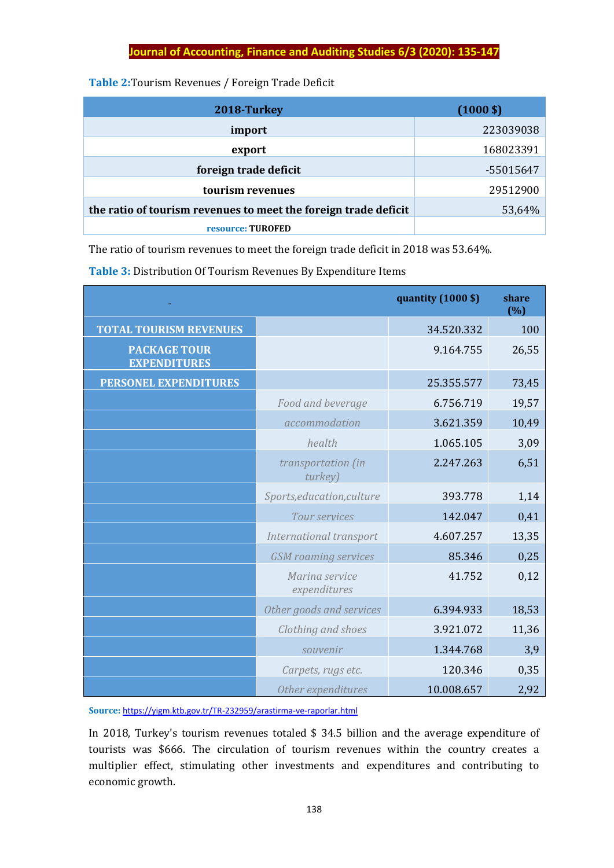### **Table 2:**Tourism Revenues / Foreign Trade Deficit

| 2018-Turkey                                                     | $(1000 \text{ } $)$ |
|-----------------------------------------------------------------|---------------------|
| import                                                          | 223039038           |
| export                                                          | 168023391           |
| foreign trade deficit                                           | -55015647           |
| tourism revenues                                                | 29512900            |
| the ratio of tourism revenues to meet the foreign trade deficit | 53,64%              |
| resource: TUROFED                                               |                     |

The ratio of tourism revenues to meet the foreign trade deficit in 2018 was 53.64%.

| Table 3: Distribution Of Tourism Revenues By Expenditure Items |
|----------------------------------------------------------------|
|----------------------------------------------------------------|

|                                            |                                | quantity (1000 \$) | share<br>(%) |
|--------------------------------------------|--------------------------------|--------------------|--------------|
| <b>TOTAL TOURISM REVENUES</b>              |                                | 34.520.332         | 100          |
| <b>PACKAGE TOUR</b><br><b>EXPENDITURES</b> |                                | 9.164.755          | 26,55        |
| PERSONEL EXPENDITURES                      |                                | 25.355.577         | 73,45        |
|                                            | Food and beverage              | 6.756.719          | 19,57        |
|                                            | accommodation                  | 3.621.359          | 10,49        |
|                                            | health                         | 1.065.105          | 3,09         |
|                                            | transportation (in<br>turkey)  | 2.247.263          | 6,51         |
|                                            | Sports, education, culture     | 393.778            | 1,14         |
|                                            | Tour services                  | 142.047            | 0,41         |
|                                            | International transport        | 4.607.257          | 13,35        |
|                                            | <b>GSM</b> roaming services    | 85.346             | 0,25         |
|                                            | Marina service<br>expenditures | 41.752             | 0,12         |
|                                            | Other goods and services       | 6.394.933          | 18,53        |
|                                            | Clothing and shoes             | 3.921.072          | 11,36        |
|                                            | souvenir                       | 1.344.768          | 3,9          |
|                                            | Carpets, rugs etc.             | 120.346            | 0,35         |
|                                            | Other expenditures             | 10.008.657         | 2,92         |

**Source:** <https://yigm.ktb.gov.tr/TR-232959/arastirma-ve-raporlar.html>

In 2018, Turkey's tourism revenues totaled \$ 34.5 billion and the average expenditure of tourists was \$666. The circulation of tourism revenues within the country creates a multiplier effect, stimulating other investments and expenditures and contributing to economic growth.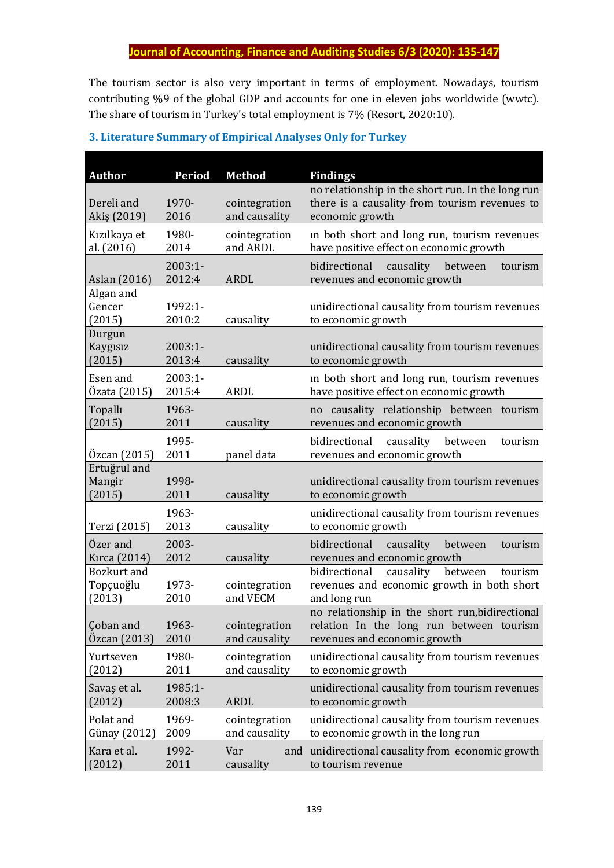The tourism sector is also very important in terms of employment. Nowadays, tourism contributing %9 of the global GDP and accounts for one in eleven jobs worldwide (wwtc). The share of tourism in Turkey's total employment is 7% (Resort, 2020:10).

| <b>Author</b>                             | <b>Period</b>       | <b>Method</b>                  | <b>Findings</b>                                                                                                             |
|-------------------------------------------|---------------------|--------------------------------|-----------------------------------------------------------------------------------------------------------------------------|
| Dereli and<br>Akiş (2019)                 | 1970-<br>2016       | cointegration<br>and causality | no relationship in the short run. In the long run<br>there is a causality from tourism revenues to<br>economic growth       |
| Kızılkaya et<br>al. (2016)                | 1980-<br>2014       | cointegration<br>and ARDL      | in both short and long run, tourism revenues<br>have positive effect on economic growth                                     |
| Aslan (2016)                              | 2003:1-<br>2012:4   | <b>ARDL</b>                    | causality<br>bidirectional<br>between<br>tourism<br>revenues and economic growth                                            |
| Algan and<br>Gencer<br>(2015)             | 1992:1-<br>2010:2   | causality                      | unidirectional causality from tourism revenues<br>to economic growth                                                        |
| Durgun<br>Kaygısız<br>(2015)              | 2003:1-<br>2013:4   | causality                      | unidirectional causality from tourism revenues<br>to economic growth                                                        |
| Esen and<br>Özata (2015)                  | $2003:1-$<br>2015:4 | ARDL                           | in both short and long run, tourism revenues<br>have positive effect on economic growth                                     |
| Topallı<br>(2015)                         | 1963-<br>2011       | causality                      | causality relationship between tourism<br>no<br>revenues and economic growth                                                |
| Özcan (2015)                              | 1995-<br>2011       | panel data                     | bidirectional<br>causality<br>between<br>tourism<br>revenues and economic growth                                            |
| Ertuğrul and<br>Mangir<br>(2015)          | 1998-<br>2011       | causality                      | unidirectional causality from tourism revenues<br>to economic growth                                                        |
| Terzi (2015)                              | 1963-<br>2013       | causality                      | unidirectional causality from tourism revenues<br>to economic growth                                                        |
| Özer and<br>Kırca (2014)                  | 2003-<br>2012       | causality                      | bidirectional<br>causality<br>between<br>tourism<br>revenues and economic growth                                            |
| <b>Bozkurt</b> and<br>Topçuoğlu<br>(2013) | 1973-<br>2010       | cointegration<br>and VECM      | bidirectional<br>causality<br>between<br>tourism<br>revenues and economic growth in both short<br>and long run              |
| Çoban and<br>Özcan (2013)                 | 1963-<br>2010       | cointegration<br>and causality | no relationship in the short run, bidirectional<br>relation In the long run between tourism<br>revenues and economic growth |
| Yurtseven<br>(2012)                       | 1980-<br>2011       | cointegration<br>and causality | unidirectional causality from tourism revenues<br>to economic growth                                                        |
| Savaş et al.<br>(2012)                    | 1985:1-<br>2008:3   | <b>ARDL</b>                    | unidirectional causality from tourism revenues<br>to economic growth                                                        |
| Polat and<br>Günay (2012)                 | 1969-<br>2009       | cointegration<br>and causality | unidirectional causality from tourism revenues<br>to economic growth in the long run                                        |
| Kara et al.<br>(2012)                     | 1992-<br>2011       | Var<br>and<br>causality        | unidirectional causality from economic growth<br>to tourism revenue                                                         |

## **3. Literature Summary of Empirical Analyses Only for Turkey**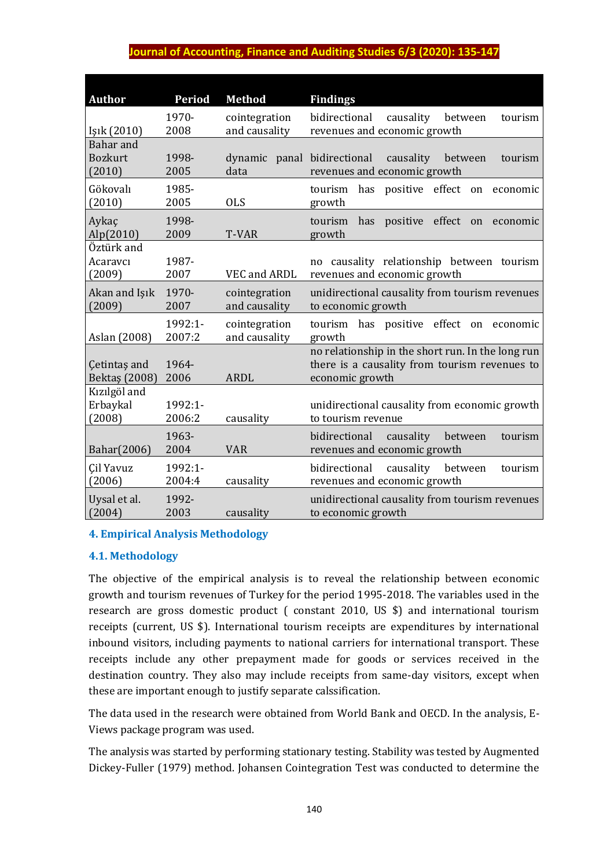| <b>Author</b>                         | <b>Period</b>     | <b>Method</b>                       | <b>Findings</b>                                                                                                       |
|---------------------------------------|-------------------|-------------------------------------|-----------------------------------------------------------------------------------------------------------------------|
| Işık (2010)                           | 1970-<br>2008     | cointegration<br>and causality      | bidirectional<br>causality<br>between<br>tourism<br>revenues and economic growth                                      |
| Bahar and<br><b>Bozkurt</b><br>(2010) | 1998-<br>2005     | dynamic panal bidirectional<br>data | causality<br>between<br>tourism<br>revenues and economic growth                                                       |
| Gökovalı<br>(2010)                    | 1985-<br>2005     | <b>OLS</b>                          | tourism<br>has positive effect on<br>economic<br>growth                                                               |
| Aykaç<br>Alp(2010)                    | 1998-<br>2009     | T-VAR                               | positive effect<br>tourism<br>has<br>on<br>economic<br>growth                                                         |
| Öztürk and<br>Acaravci<br>(2009)      | 1987-<br>2007     | VEC and ARDL                        | no causality relationship between tourism<br>revenues and economic growth                                             |
| Akan and Işık<br>(2009)               | 1970-<br>2007     | cointegration<br>and causality      | unidirectional causality from tourism revenues<br>to economic growth                                                  |
| Aslan (2008)                          | 1992:1-<br>2007:2 | cointegration<br>and causality      | tourism has positive effect on economic<br>growth                                                                     |
| <b>Cetintas and</b><br>Bektaş (2008)  | 1964-<br>2006     | <b>ARDL</b>                         | no relationship in the short run. In the long run<br>there is a causality from tourism revenues to<br>economic growth |
| Kızılgöl and<br>Erbaykal<br>(2008)    | 1992:1-<br>2006:2 | causality                           | unidirectional causality from economic growth<br>to tourism revenue                                                   |
| Bahar(2006)                           | 1963-<br>2004     | <b>VAR</b>                          | bidirectional<br>causality<br>between<br>tourism<br>revenues and economic growth                                      |
| <b>Cil Yavuz</b><br>(2006)            | 1992:1-<br>2004:4 | causality                           | bidirectional<br>causality<br>between<br>tourism<br>revenues and economic growth                                      |
| Uysal et al.<br>(2004)                | 1992-<br>2003     | causality                           | unidirectional causality from tourism revenues<br>to economic growth                                                  |

## **4. Empirical Analysis Methodology**

## **4.1. Methodology**

The objective of the empirical analysis is to reveal the relationship between economic growth and tourism revenues of Turkey for the period 1995-2018. The variables used in the research are gross domestic product ( constant 2010, US \$) and international tourism receipts (current, US \$). International tourism receipts are expenditures by international inbound visitors, including payments to national carriers for international transport. These receipts include any other prepayment made for goods or services received in the destination country. They also may include receipts from same-day visitors, except when these are important enough to justify separate calssification.

The data used in the research were obtained from World Bank and OECD. In the analysis, E-Views package program was used.

The analysis was started by performing stationary testing. Stability was tested by Augmented Dickey-Fuller (1979) method. Johansen Cointegration Test was conducted to determine the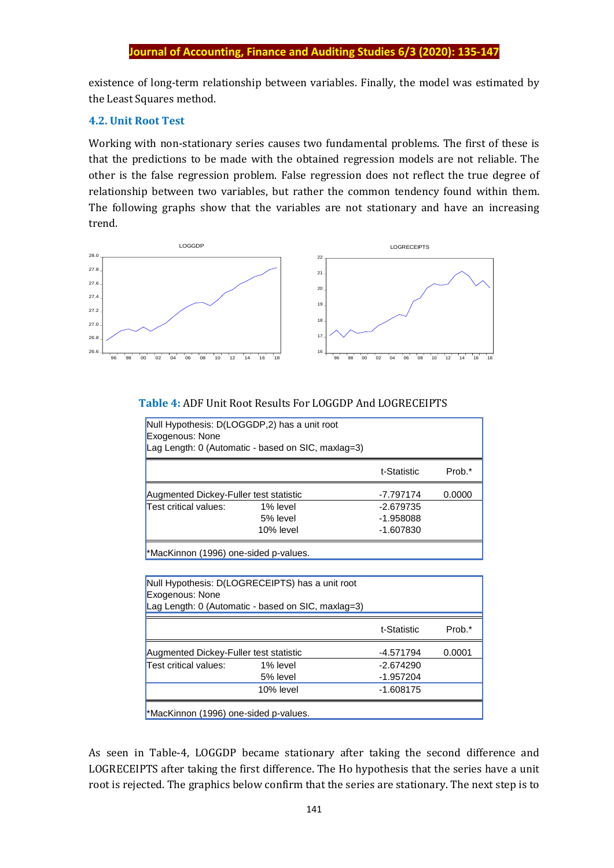#### **Journal of Accounting, Finance and Auditing Studies 6/3**

existence of long-term relationship between variables. Finally, the model was estimated by the Least Squares method.

#### **4.2. Unit Root Test**

Working with non-stationary series causes two fundamental problems. The first of these is that the predictions to be made with the obtained regression models are not reliable. The other is the false regression problem. False regression does not reflect the true degree of relationship between two variables, but rather the common tendency found within them. The following graphs show that the variables are not stationary and have an increasing trend.



#### **Table 4:** ADF Unit Root Results For LOGGDP And LOGRECEIPTS

| Exogenous: None                        | Null Hypothesis: D(LOGGDP,2) has a unit root<br>Lag Length: 0 (Automatic - based on SIC, maxlag=3) |             |        |
|----------------------------------------|----------------------------------------------------------------------------------------------------|-------------|--------|
|                                        |                                                                                                    | t-Statistic | Prob.* |
| Augmented Dickey-Fuller test statistic |                                                                                                    | -7.797174   | 0.0000 |
| Test critical values:                  | 1% level                                                                                           | $-2.679735$ |        |
|                                        | 5% level                                                                                           | $-1.958088$ |        |
|                                        | 10% level                                                                                          | $-1.607830$ |        |

\*MacKinnon (1996) one-sided p-values.

| Exogenous: None                        | Null Hypothesis: D(LOGRECEIPTS) has a unit root<br>Lag Length: 0 (Automatic - based on SIC, maxlag=3) |             |        |
|----------------------------------------|-------------------------------------------------------------------------------------------------------|-------------|--------|
|                                        |                                                                                                       | t-Statistic | Prob.* |
| Augmented Dickey-Fuller test statistic |                                                                                                       | -4.571794   | 0.0001 |
| Test critical values:                  | 1% level                                                                                              | $-2.674290$ |        |
|                                        | 5% level                                                                                              | $-1.957204$ |        |
|                                        | 10% level                                                                                             | $-1.608175$ |        |
| *MacKinnon (1996) one-sided p-values.  |                                                                                                       |             |        |

As seen in Table-4, LOGGDP became stationary after taking the second difference and LOGRECEIPTS after taking the first difference. The Ho hypothesis that the series have a unit root is rejected. The graphics below confirm that the series are stationary. The next step is to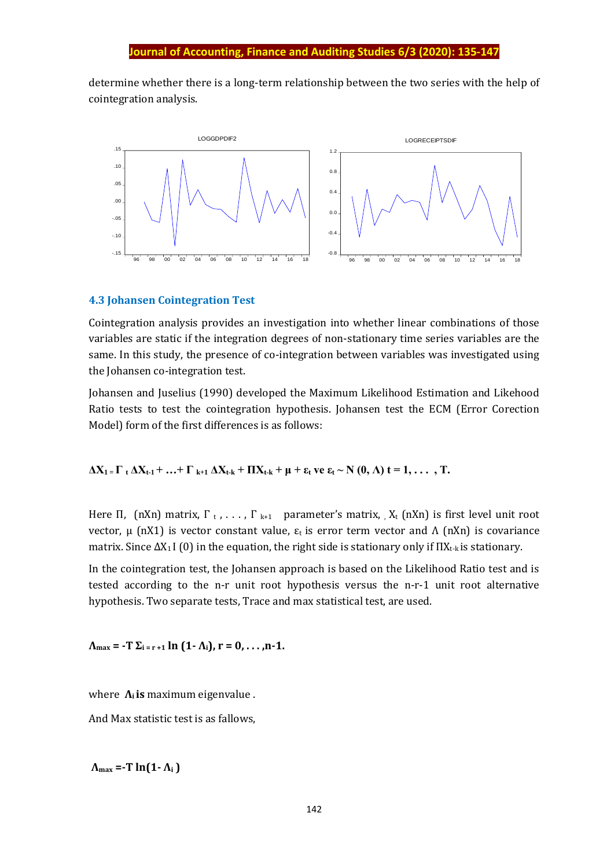determine whether there is a long-term relationship between the two series with the help of cointegration analysis.



#### **4.3 Johansen Cointegration Test**

Cointegration analysis provides an investigation into whether linear combinations of those variables are static if the integration degrees of non-stationary time series variables are the same. In this study, the presence of co-integration between variables was investigated using the Johansen co-integration test.

Johansen and Juselius (1990) developed the Maximum Likelihood Estimation and Likehood Ratio tests to test the cointegration hypothesis. Johansen test the ECM (Error Corection Model) form of the first differences is as follows:

 $\Delta X_1 = \Gamma_1 \Delta X_{t-1} + ... + \Gamma_{k+1} \Delta X_{t-k} + \Pi X_{t-k} + \mu + \varepsilon_t$  ve  $\varepsilon_t \sim N(0, \Lambda)$  t = 1, ..., T.

Here Π, (nXn) matrix,  $\Gamma$ <sub>t</sub>, ...,  $\Gamma$ <sub>k+1</sub> parameter's matrix,  $X_t$  (nXn) is first level unit root vector, μ (nX1) is vector constant value,  $ε_t$  is error term vector and Λ (nXn) is covariance matrix. Since  $\Delta X_1$  I (0) in the equation, the right side is stationary only if  $\Pi X_{t-k}$  is stationary.

In the cointegration test, the Johansen approach is based on the Likelihood Ratio test and is tested according to the n-r unit root hypothesis versus the n-r-1 unit root alternative hypothesis. Two separate tests, Trace and max statistical test, are used.

 $\Lambda_{\text{max}} = -T \Sigma_{i=r+1} \ln (1-\Lambda_i), r = 0, \ldots, n-1.$ 

where  $\Lambda_i$  **is** maximum eigenvalue.

And Max statistic test is as fallows,

 $\Lambda_{\text{max}} = -T \ln(1 - \Lambda_i)$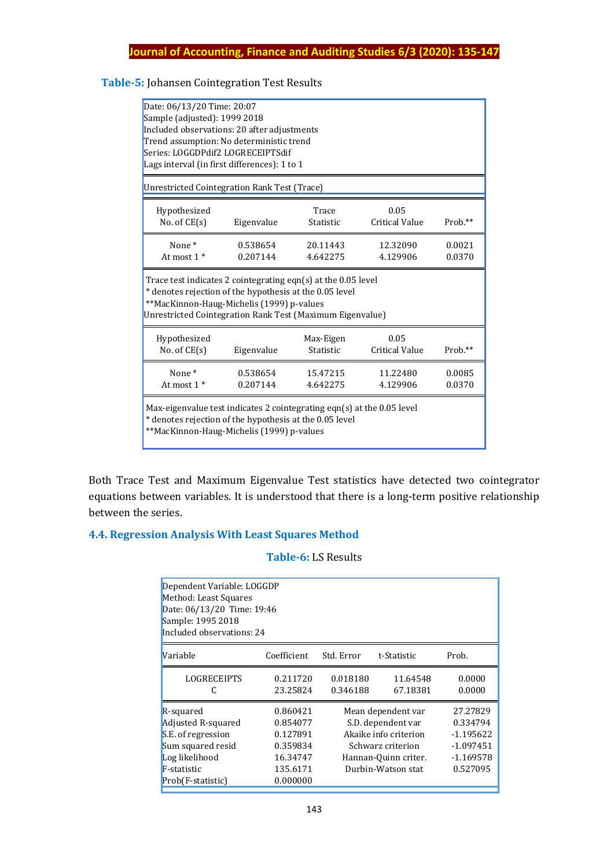# **Table-5:** Johansen Cointegration Test Results

| Date: 06/13/20 Time: 20:07<br>Sample (adjusted): 1999 2018<br>Included observations: 20 after adjustments<br>Trend assumption: No deterministic trend<br>Series: LOGGDPdif2 LOGRECEIPTSdif<br>Lags interval (in first differences): 1 to 1 |                      |                        |                               |                  |  |
|--------------------------------------------------------------------------------------------------------------------------------------------------------------------------------------------------------------------------------------------|----------------------|------------------------|-------------------------------|------------------|--|
| Unrestricted Cointegration Rank Test (Trace)                                                                                                                                                                                               |                      |                        |                               |                  |  |
| Hypothesized<br>No. of $CE(s)$                                                                                                                                                                                                             | Eigenvalue           | Trace<br>Statistic     | 0.05<br><b>Critical Value</b> | Prob.**          |  |
| None <sup>*</sup><br>At most $1 *$                                                                                                                                                                                                         | 0.538654<br>0.207144 | 20.11443<br>4.642275   | 12.32090<br>4.129906          | 0.0021<br>0.0370 |  |
| Trace test indicates 2 cointegrating eqn(s) at the 0.05 level<br>* denotes rejection of the hypothesis at the 0.05 level<br>**MacKinnon-Haug-Michelis (1999) p-values<br>Unrestricted Cointegration Rank Test (Maximum Eigenvalue)         |                      |                        |                               |                  |  |
| Hypothesized<br>No. of $CE(s)$                                                                                                                                                                                                             | Eigenvalue           | Max-Eigen<br>Statistic | 0.05<br><b>Critical Value</b> | Prob.**          |  |
| None*<br>At most $1 *$                                                                                                                                                                                                                     | 0.538654<br>0.207144 | 15.47215<br>4.642275   | 11.22480<br>4.129906          | 0.0085<br>0.0370 |  |
| Max-eigenvalue test indicates 2 cointegrating eqn(s) at the 0.05 level<br>* denotes rejection of the hypothesis at the 0.05 level<br>**MacKinnon-Haug-Michelis (1999) p-values                                                             |                      |                        |                               |                  |  |

Both Trace Test and Maximum Eigenvalue Test statistics have detected two cointegrator equations between variables. It is understood that there is a long-term positive relationship between the series.

# **4.4. Regression Analysis With Least Squares Method**

## **Table-6:** LS Results

| Dependent Variable: LOGGDP<br>Method: Least Squares<br>Date: 06/13/20 Time: 19:46<br>Sample: 1995 2018<br>Included observations: 24 |                                                                                  |                      |                                                                                                                                      |                                                                               |  |  |
|-------------------------------------------------------------------------------------------------------------------------------------|----------------------------------------------------------------------------------|----------------------|--------------------------------------------------------------------------------------------------------------------------------------|-------------------------------------------------------------------------------|--|--|
| Variable                                                                                                                            | Coefficient                                                                      | Std. Error           | t-Statistic                                                                                                                          | Prob.                                                                         |  |  |
| <b>LOGRECEIPTS</b><br>C                                                                                                             | 0.211720<br>23.25824                                                             | 0.018180<br>0.346188 | 11.64548<br>67.18381                                                                                                                 | 0.0000<br>0.0000                                                              |  |  |
| R-squared<br>Adjusted R-squared<br>S.E. of regression<br>Sum squared resid<br>Log likelihood<br>F-statistic<br>Prob(F-statistic)    | 0.860421<br>0.854077<br>0.127891<br>0.359834<br>16.34747<br>135.6171<br>0.000000 |                      | Mean dependent var<br>S.D. dependent var<br>Akaike info criterion<br>Schwarz criterion<br>Hannan-Quinn criter.<br>Durbin-Watson stat | 27.27829<br>0.334794<br>$-1.195622$<br>$-1.097451$<br>$-1.169578$<br>0.527095 |  |  |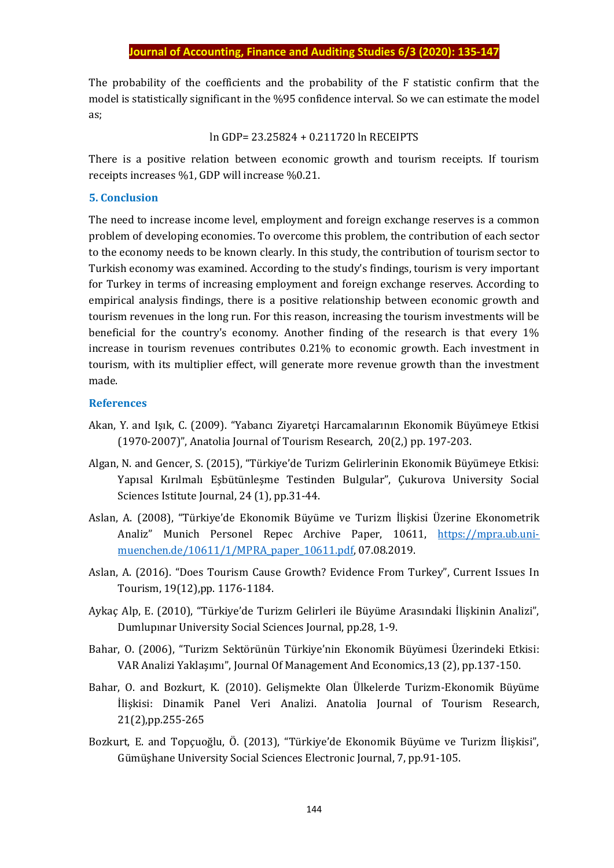The probability of the coefficients and the probability of the F statistic confirm that the model is statistically significant in the %95 confidence interval. So we can estimate the model as;

ln GDP= 23.25824 + 0.211720 ln RECEIPTS

There is a positive relation between economic growth and tourism receipts. If tourism receipts increases %1, GDP will increase %0.21.

#### **5. Conclusion**

The need to increase income level, employment and foreign exchange reserves is a common problem of developing economies. To overcome this problem, the contribution of each sector to the economy needs to be known clearly. In this study, the contribution of tourism sector to Turkish economy was examined. According to the study's findings, tourism is very important for Turkey in terms of increasing employment and foreign exchange reserves. According to empirical analysis findings, there is a positive relationship between economic growth and tourism revenues in the long run. For this reason, increasing the tourism investments will be beneficial for the country's economy. Another finding of the research is that every 1% increase in tourism revenues contributes 0.21% to economic growth. Each investment in tourism, with its multiplier effect, will generate more revenue growth than the investment made.

#### **References**

- Akan, Y. and Işık, C. (2009). "Yabancı Ziyaretçi Harcamalarının Ekonomik Büyümeye Etkisi (1970-2007)", Anatolia Journal of Tourism Research, 20(2,) pp. 197-203.
- Algan, N. and Gencer, S. (2015), "Türkiye'de Turizm Gelirlerinin Ekonomik Büyümeye Etkisi: Yapısal Kırılmalı Eşbütünleşme Testinden Bulgular", Çukurova University Social Sciences Istitute Journal, 24 (1), pp.31-44.
- Aslan, A. (2008), "Türkiye'de Ekonomik Büyüme ve Turizm İlişkisi Üzerine Ekonometrik Analiz" Munich Personel Repec Archive Paper, 10611, [https://mpra.ub.uni](https://mpra.ub.uni-muenchen.de/10611/1/MPRA_paper_10611.pdf)[muenchen.de/10611/1/MPRA\\_paper\\_10611.pdf,](https://mpra.ub.uni-muenchen.de/10611/1/MPRA_paper_10611.pdf) 07.08.2019.
- Aslan, A. (2016). "Does Tourism Cause Growth? Evidence From Turkey", Current Issues In Tourism, 19(12),pp. 1176-1184.
- Aykaç Alp, E. (2010), "Türkiye'de Turizm Gelirleri ile Büyüme Arasındaki İlişkinin Analizi", Dumlupınar University Social Sciences Journal, pp.28, 1-9.
- Bahar, O. (2006), "Turizm Sektörünün Türkiye'nin Ekonomik Büyümesi Üzerindeki Etkisi: VAR Analizi Yaklaşımı", Journal Of Management And Economics,13 (2), pp.137-150.
- Bahar, O. and Bozkurt, K. (2010). Gelişmekte Olan Ülkelerde Turizm-Ekonomik Büyüme İlişkisi: Dinamik Panel Veri Analizi. Anatolia Journal of Tourism Research, 21(2),pp.255-265
- Bozkurt, E. and Topçuoğlu, Ö. (2013), "Türkiye'de Ekonomik Büyüme ve Turizm İlişkisi", Gümüşhane University Social Sciences Electronic Journal, 7, pp.91-105.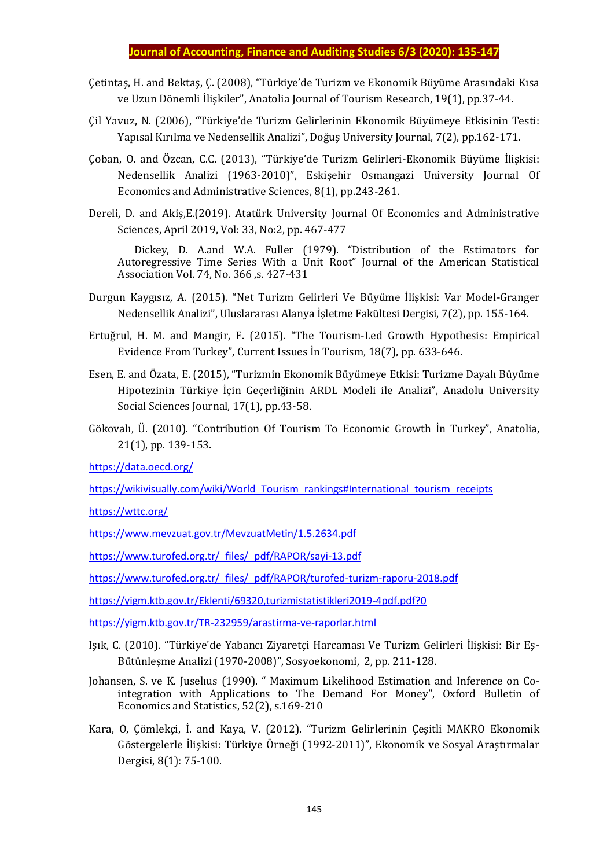- Çetintaş, H. and Bektaş, Ç. (2008), "Türkiye'de Turizm ve Ekonomik Büyüme Arasındaki Kısa ve Uzun Dönemli İlişkiler", Anatolia Journal of Tourism Research, 19(1), pp.37-44.
- Çil Yavuz, N. (2006), "Türkiye'de Turizm Gelirlerinin Ekonomik Büyümeye Etkisinin Testi: Yapısal Kırılma ve Nedensellik Analizi", Doğuş University Journal, 7(2), pp.162-171.
- Çoban, O. and Özcan, C.C. (2013), "Türkiye'de Turizm Gelirleri-Ekonomik Büyüme İlişkisi: Nedensellik Analizi (1963-2010)", Eskişehir Osmangazi University Journal Of Economics and Administrative Sciences, 8(1), pp.243-261.
- Dereli, D. and Akiş,E.(2019). Atatürk University Journal Of Economics and Administrative Sciences, April 2019, Vol: 33, No:2, pp. 467-477

 Dickey, D. A.and W.A. Fuller (1979). "Distribution of the Estimators for Autoregressive Time Series With a Unit Root" Journal of the American Statistical Association Vol. 74, No. 366 ,s. 427-431

- Durgun Kaygısız, A. (2015). "Net Turizm Gelirleri Ve Büyüme İlişkisi: Var Model-Granger Nedensellik Analizi", Uluslararası Alanya İşletme Fakültesi Dergisi, 7(2), pp. 155-164.
- Ertuğrul, H. M. and Mangir, F. (2015). "The Tourism-Led Growth Hypothesis: Empirical Evidence From Turkey", Current Issues İn Tourism, 18(7), pp. 633-646.
- Esen, E. and Özata, E. (2015), "Turizmin Ekonomik Büyümeye Etkisi: Turizme Dayalı Büyüme Hipotezinin Türkiye İçin Geçerliğinin ARDL Modeli ile Analizi", Anadolu University Social Sciences Journal, 17(1), pp.43-58.
- Gökovalı, Ü. (2010). "Contribution Of Tourism To Economic Growth İn Turkey", Anatolia, 21(1), pp. 139-153.

<https://data.oecd.org/>

[https://wikivisually.com/wiki/World\\_Tourism\\_rankings#International\\_tourism\\_receipts](https://wikivisually.com/wiki/World_Tourism_rankings#International_tourism_receipts)

<https://wttc.org/>

<https://www.mevzuat.gov.tr/MevzuatMetin/1.5.2634.pdf>

[https://www.turofed.org.tr/\\_files/\\_pdf/RAPOR/sayi-13.pdf](https://www.turofed.org.tr/_files/_pdf/RAPOR/sayi-13.pdf)

[https://www.turofed.org.tr/\\_files/\\_pdf/RAPOR/turofed-turizm-raporu-2018.pdf](https://www.turofed.org.tr/_files/_pdf/RAPOR/turofed-turizm-raporu-2018.pdf)

<https://yigm.ktb.gov.tr/Eklenti/69320,turizmistatistikleri2019-4pdf.pdf?0>

<https://yigm.ktb.gov.tr/TR-232959/arastirma-ve-raporlar.html>

- Işık, C. (2010). "Türkiye'de Yabancı Ziyaretçi Harcaması Ve Turizm Gelirleri İlişkisi: Bir Eş-Bütünleşme Analizi (1970-2008)", Sosyoekonomi, 2, pp. 211-128.
- Johansen, S. ve K. Juselıus (1990). " Maximum Likelihood Estimation and Inference on Cointegration with Applications to The Demand For Money", Oxford Bulletin of Economics and Statistics, 52(2), s.169-210
- Kara, O, Çömlekçi, İ. and Kaya, V. (2012). "Turizm Gelirlerinin Çeşitli MAKRO Ekonomik Göstergelerle İlişkisi: Türkiye Örneği (1992-2011)", Ekonomik ve Sosyal Araştırmalar Dergisi, 8(1): 75-100.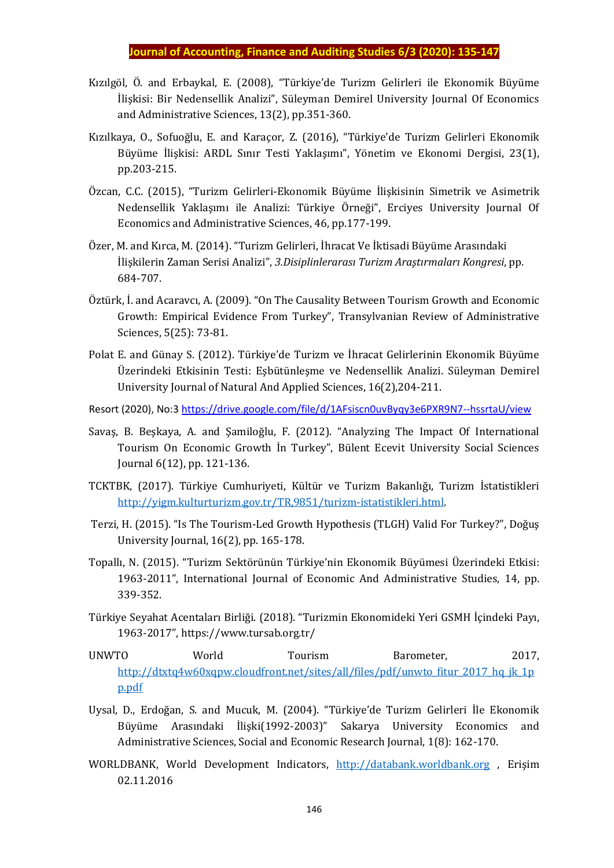- Kızılgöl, Ö. and Erbaykal, E. (2008), "Türkiye'de Turizm Gelirleri ile Ekonomik Büyüme İlişkisi: Bir Nedensellik Analizi", Süleyman Demirel University Journal Of Economics and Administrative Sciences, 13(2), pp.351-360.
- Kızılkaya, O., Sofuoğlu, E. and Karaçor, Z. (2016), "Türkiye'de Turizm Gelirleri Ekonomik Büyüme İlişkisi: ARDL Sınır Testi Yaklaşımı", Yönetim ve Ekonomi Dergisi, 23(1), pp.203-215.
- Özcan, C.C. (2015), "Turizm Gelirleri-Ekonomik Büyüme İlişkisinin Simetrik ve Asimetrik Nedensellik Yaklaşımı ile Analizi: Türkiye Örneği", Erciyes University Journal Of Economics and Administrative Sciences, 46, pp.177-199.
- Özer, M. and Kırca, M. (2014). "Turizm Gelirleri, İhracat Ve İktisadi Büyüme Arasındaki İlişkilerin Zaman Serisi Analizi", *3.Disiplinlerarası Turizm Araştırmaları Kongresi*, pp. 684-707.
- Öztürk, İ. and Acaravcı, A. (2009). "On The Causality Between Tourism Growth and Economic Growth: Empirical Evidence From Turkey", Transylvanian Review of Administrative Sciences, 5(25): 73-81.
- Polat E. and Günay S. (2012). Türkiye'de Turizm ve İhracat Gelirlerinin Ekonomik Büyüme Üzerindeki Etkisinin Testi: Eşbütünleşme ve Nedensellik Analizi. Süleyman Demirel University Journal of Natural And Applied Sciences, 16(2),204-211.
- Resort (2020), No:3<https://drive.google.com/file/d/1AFsiscn0uvByqy3e6PXR9N7--hssrtaU/view>
- Savaş, B. Beşkaya, A. and Şamiloğlu, F. (2012). "Analyzing The Impact Of International Tourism On Economic Growth İn Turkey", Bülent Ecevit University Social Sciences Journal 6(12), pp. 121-136.
- TCKTBK, (2017). Türkiye Cumhuriyeti, Kültür ve Turizm Bakanlığı, Turizm İstatistikleri [http://yigm.kulturturizm.gov.tr/TR,9851/turizm-istatistikleri.html.](http://yigm.kulturturizm.gov.tr/TR,9851/turizm-istatistikleri.html)
- Terzi, H. (2015). "Is The Tourism-Led Growth Hypothesis (TLGH) Valid For Turkey?", Doğuş University Journal, 16(2), pp. 165-178.
- Topallı, N. (2015). "Turizm Sektörünün Türkiye'nin Ekonomik Büyümesi Üzerindeki Etkisi: 1963-2011", International Journal of Economic And Administrative Studies, 14, pp. 339-352.
- Türkiye Seyahat Acentaları Birliği. (2018). "Turizmin Ekonomideki Yeri GSMH İçindeki Payı, 1963-2017", https://www.tursab.org.tr/
- UNWTO World Tourism Barometer, 2017, [http://dtxtq4w60xqpw.cloudfront.net/sites/all/files/pdf/unwto\\_fitur\\_2017\\_hq\\_jk\\_1p](http://dtxtq4w60xqpw.cloudfront.net/sites/all/files/pdf/unwto_fitur_2017_hq_jk_1pp.pdf) [p.pdf](http://dtxtq4w60xqpw.cloudfront.net/sites/all/files/pdf/unwto_fitur_2017_hq_jk_1pp.pdf)
- Uysal, D., Erdoğan, S. and Mucuk, M. (2004). "Türkiye'de Turizm Gelirleri İle Ekonomik Büyüme Arasındaki İlişki(1992-2003)" Sakarya University Economics and Administrative Sciences, Social and Economic Research Journal, 1(8): 162-170.
- WORLDBANK, World Development Indicators, [http://databank.worldbank.org](http://databank.worldbank.org/) , Erişim 02.11.2016